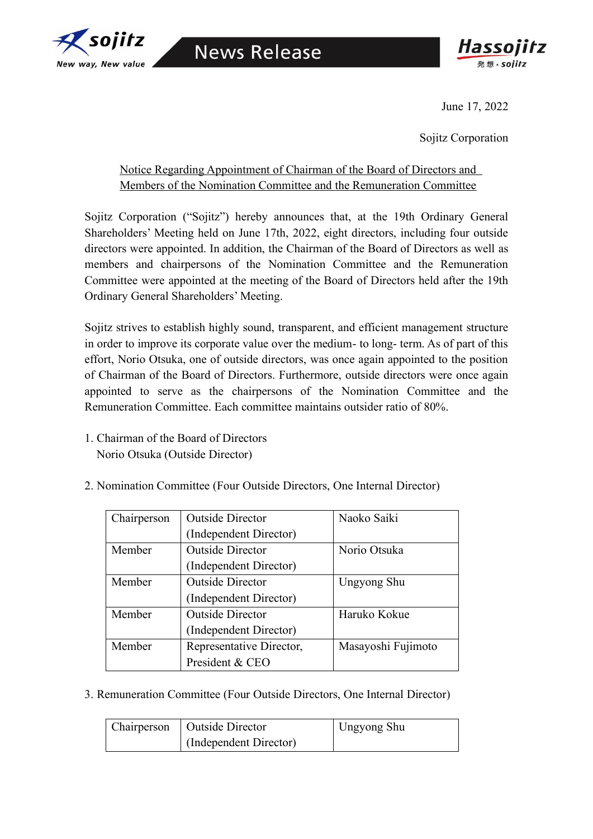



June 17, 2022

Sojitz Corporation

## Notice Regarding Appointment of Chairman of the Board of Directors and Members of the Nomination Committee and the Remuneration Committee

Sojitz Corporation ("Sojitz") hereby announces that, at the 19th Ordinary General Shareholders' Meeting held on June 17th, 2022, eight directors, including four outside directors were appointed. In addition, the Chairman of the Board of Directors as well as members and chairpersons of the Nomination Committee and the Remuneration Committee were appointed at the meeting of the Board of Directors held after the 19th Ordinary General Shareholders' Meeting.

Sojitz strives to establish highly sound, transparent, and efficient management structure in order to improve its corporate value over the medium- to long- term. As of part of this effort, Norio Otsuka, one of outside directors, was once again appointed to the position of Chairman of the Board of Directors. Furthermore, outside directors were once again appointed to serve as the chairpersons of the Nomination Committee and the Remuneration Committee. Each committee maintains outsider ratio of 80%.

1. Chairman of the Board of Directors Norio Otsuka (Outside Director)

| Chairperson | <b>Outside Director</b>  | Naoko Saiki        |
|-------------|--------------------------|--------------------|
|             | (Independent Director)   |                    |
| Member      | <b>Outside Director</b>  | Norio Otsuka       |
|             | (Independent Director)   |                    |
| Member      | <b>Outside Director</b>  | Ungyong Shu        |
|             | (Independent Director)   |                    |
| Member      | <b>Outside Director</b>  | Haruko Kokue       |
|             | (Independent Director)   |                    |
| Member      | Representative Director, | Masayoshi Fujimoto |
|             | President & CEO          |                    |

2. Nomination Committee (Four Outside Directors, One Internal Director)

3. Remuneration Committee (Four Outside Directors, One Internal Director)

| Chairperson   Outside Director | <b>Ungyong Shu</b> |
|--------------------------------|--------------------|
| (Independent Director)         |                    |